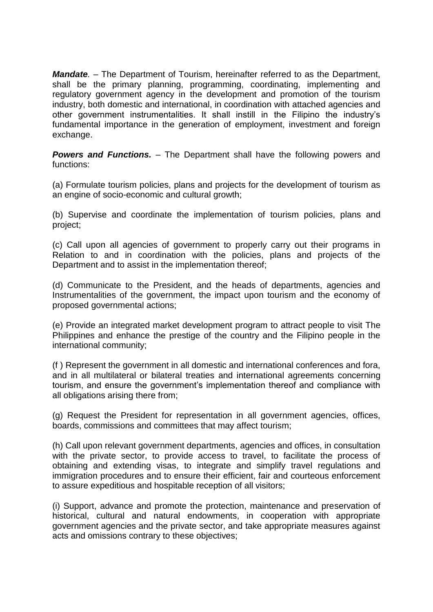*Mandate.* – The Department of Tourism, hereinafter referred to as the Department, shall be the primary planning, programming, coordinating, implementing and regulatory government agency in the development and promotion of the tourism industry, both domestic and international, in coordination with attached agencies and other government instrumentalities. It shall instill in the Filipino the industry's fundamental importance in the generation of employment, investment and foreign exchange.

*Powers and Functions.* – The Department shall have the following powers and functions:

(a) Formulate tourism policies, plans and projects for the development of tourism as an engine of socio-economic and cultural growth;

(b) Supervise and coordinate the implementation of tourism policies, plans and project;

(c) Call upon all agencies of government to properly carry out their programs in Relation to and in coordination with the policies, plans and projects of the Department and to assist in the implementation thereof;

(d) Communicate to the President, and the heads of departments, agencies and Instrumentalities of the government, the impact upon tourism and the economy of proposed governmental actions;

(e) Provide an integrated market development program to attract people to visit The Philippines and enhance the prestige of the country and the Filipino people in the international community;

(f ) Represent the government in all domestic and international conferences and fora, and in all multilateral or bilateral treaties and international agreements concerning tourism, and ensure the government's implementation thereof and compliance with all obligations arising there from;

(g) Request the President for representation in all government agencies, offices, boards, commissions and committees that may affect tourism;

(h) Call upon relevant government departments, agencies and offices, in consultation with the private sector, to provide access to travel, to facilitate the process of obtaining and extending visas, to integrate and simplify travel regulations and immigration procedures and to ensure their efficient, fair and courteous enforcement to assure expeditious and hospitable reception of all visitors;

(i) Support, advance and promote the protection, maintenance and preservation of historical, cultural and natural endowments, in cooperation with appropriate government agencies and the private sector, and take appropriate measures against acts and omissions contrary to these objectives;